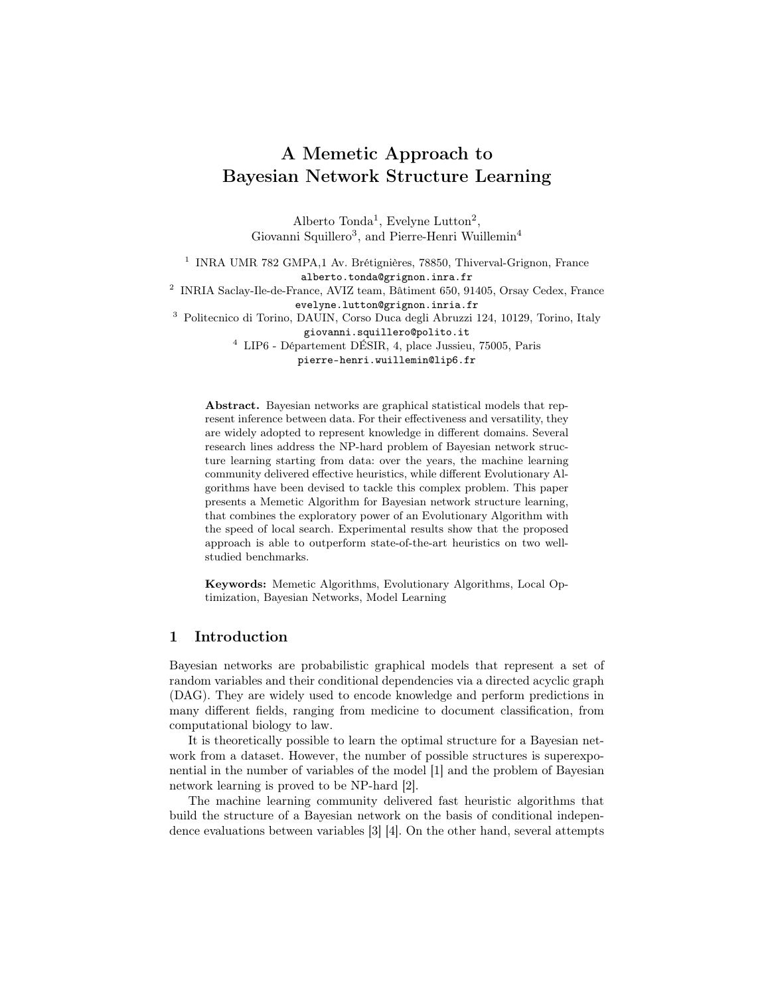# A Memetic Approach to Bayesian Network Structure Learning

Alberto Tonda<sup>1</sup>, Evelyne Lutton<sup>2</sup>, Giovanni Squillero<sup>3</sup>, and Pierre-Henri Wuillemin<sup>4</sup>

<sup>1</sup> INRA UMR 782 GMPA,1 Av. Brétignières, 78850, Thiverval-Grignon, France alberto.tonda@grignon.inra.fr

2 INRIA Saclay-Ile-de-France, AVIZ team, Bâtiment 650, 91405, Orsay Cedex, France evelyne.lutton@grignon.inria.fr

<sup>3</sup> Politecnico di Torino, DAUIN, Corso Duca degli Abruzzi 124, 10129, Torino, Italy giovanni.squillero@polito.it

> <sup>4</sup> LIP6 - Département DÉSIR, 4, place Jussieu, 75005, Paris pierre-henri.wuillemin@lip6.fr

Abstract. Bayesian networks are graphical statistical models that represent inference between data. For their effectiveness and versatility, they are widely adopted to represent knowledge in different domains. Several research lines address the NP-hard problem of Bayesian network structure learning starting from data: over the years, the machine learning community delivered effective heuristics, while different Evolutionary Algorithms have been devised to tackle this complex problem. This paper presents a Memetic Algorithm for Bayesian network structure learning, that combines the exploratory power of an Evolutionary Algorithm with the speed of local search. Experimental results show that the proposed approach is able to outperform state-of-the-art heuristics on two wellstudied benchmarks.

Keywords: Memetic Algorithms, Evolutionary Algorithms, Local Optimization, Bayesian Networks, Model Learning

## 1 Introduction

Bayesian networks are probabilistic graphical models that represent a set of random variables and their conditional dependencies via a directed acyclic graph (DAG). They are widely used to encode knowledge and perform predictions in many different fields, ranging from medicine to document classification, from computational biology to law.

It is theoretically possible to learn the optimal structure for a Bayesian network from a dataset. However, the number of possible structures is superexponential in the number of variables of the model [1] and the problem of Bayesian network learning is proved to be NP-hard [2].

The machine learning community delivered fast heuristic algorithms that build the structure of a Bayesian network on the basis of conditional independence evaluations between variables [3] [4]. On the other hand, several attempts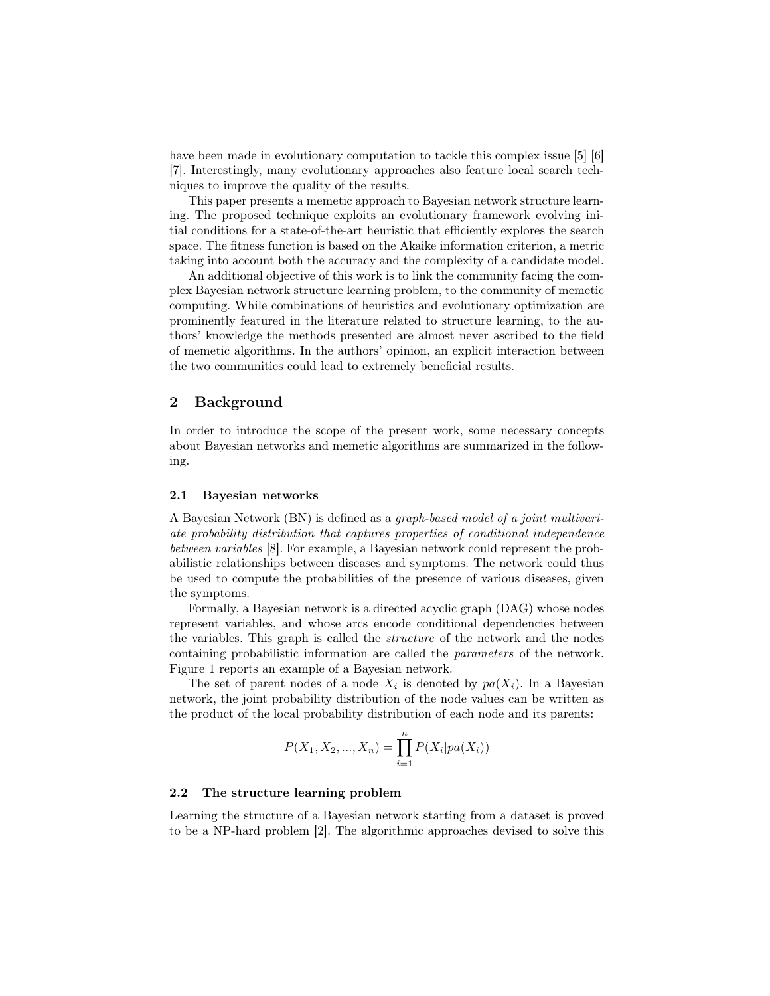have been made in evolutionary computation to tackle this complex issue [5] [6] [7]. Interestingly, many evolutionary approaches also feature local search techniques to improve the quality of the results.

This paper presents a memetic approach to Bayesian network structure learning. The proposed technique exploits an evolutionary framework evolving initial conditions for a state-of-the-art heuristic that efficiently explores the search space. The fitness function is based on the Akaike information criterion, a metric taking into account both the accuracy and the complexity of a candidate model.

An additional objective of this work is to link the community facing the complex Bayesian network structure learning problem, to the community of memetic computing. While combinations of heuristics and evolutionary optimization are prominently featured in the literature related to structure learning, to the authors' knowledge the methods presented are almost never ascribed to the field of memetic algorithms. In the authors' opinion, an explicit interaction between the two communities could lead to extremely beneficial results.

## 2 Background

In order to introduce the scope of the present work, some necessary concepts about Bayesian networks and memetic algorithms are summarized in the following.

#### 2.1 Bayesian networks

A Bayesian Network (BN) is defined as a *graph-based model of a joint multivariate probability distribution that captures properties of conditional independence between variables* [8]. For example, a Bayesian network could represent the probabilistic relationships between diseases and symptoms. The network could thus be used to compute the probabilities of the presence of various diseases, given the symptoms.

Formally, a Bayesian network is a directed acyclic graph (DAG) whose nodes represent variables, and whose arcs encode conditional dependencies between the variables. This graph is called the *structure* of the network and the nodes containing probabilistic information are called the *parameters* of the network. Figure 1 reports an example of a Bayesian network.

The set of parent nodes of a node  $X_i$  is denoted by  $pa(X_i)$ . In a Bayesian network, the joint probability distribution of the node values can be written as the product of the local probability distribution of each node and its parents:

$$
P(X_1, X_2, ..., X_n) = \prod_{i=1}^n P(X_i | pa(X_i))
$$

#### 2.2 The structure learning problem

Learning the structure of a Bayesian network starting from a dataset is proved to be a NP-hard problem [2]. The algorithmic approaches devised to solve this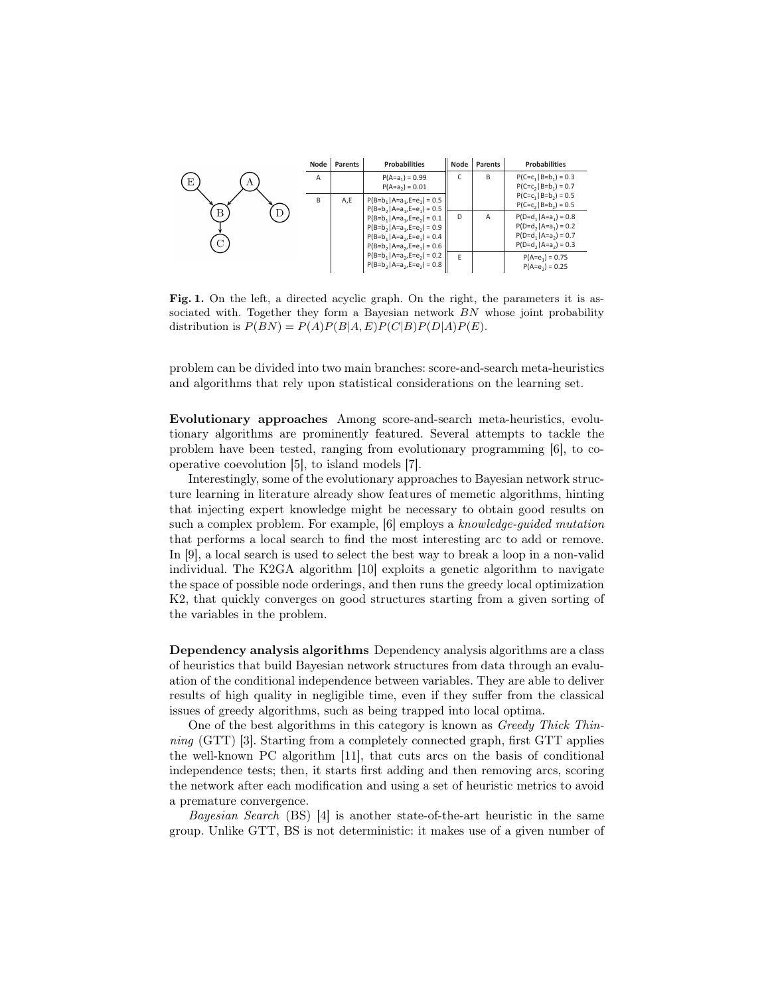

Fig. 1. On the left, a directed acyclic graph. On the right, the parameters it is associated with. Together they form a Bayesian network *BN* whose joint probability distribution is  $P(BN) = P(A)P(B|A, E)P(C|B)P(D|A)P(E)$ .

problem can be divided into two main branches: score-and-search meta-heuristics and algorithms that rely upon statistical considerations on the learning set.

Evolutionary approaches Among score-and-search meta-heuristics, evolutionary algorithms are prominently featured. Several attempts to tackle the problem have been tested, ranging from evolutionary programming [6], to cooperative coevolution [5], to island models [7].

Interestingly, some of the evolutionary approaches to Bayesian network structure learning in literature already show features of memetic algorithms, hinting that injecting expert knowledge might be necessary to obtain good results on such a complex problem. For example, [6] employs a *knowledge-guided mutation* that performs a local search to find the most interesting arc to add or remove. In [9], a local search is used to select the best way to break a loop in a non-valid individual. The K2GA algorithm [10] exploits a genetic algorithm to navigate the space of possible node orderings, and then runs the greedy local optimization K2, that quickly converges on good structures starting from a given sorting of the variables in the problem.

Dependency analysis algorithms Dependency analysis algorithms are a class of heuristics that build Bayesian network structures from data through an evaluation of the conditional independence between variables. They are able to deliver results of high quality in negligible time, even if they suffer from the classical issues of greedy algorithms, such as being trapped into local optima.

One of the best algorithms in this category is known as *Greedy Thick Thinning* (GTT) [3]. Starting from a completely connected graph, first GTT applies the well-known PC algorithm [11], that cuts arcs on the basis of conditional independence tests; then, it starts first adding and then removing arcs, scoring the network after each modification and using a set of heuristic metrics to avoid a premature convergence.

*Bayesian Search* (BS) [4] is another state-of-the-art heuristic in the same group. Unlike GTT, BS is not deterministic: it makes use of a given number of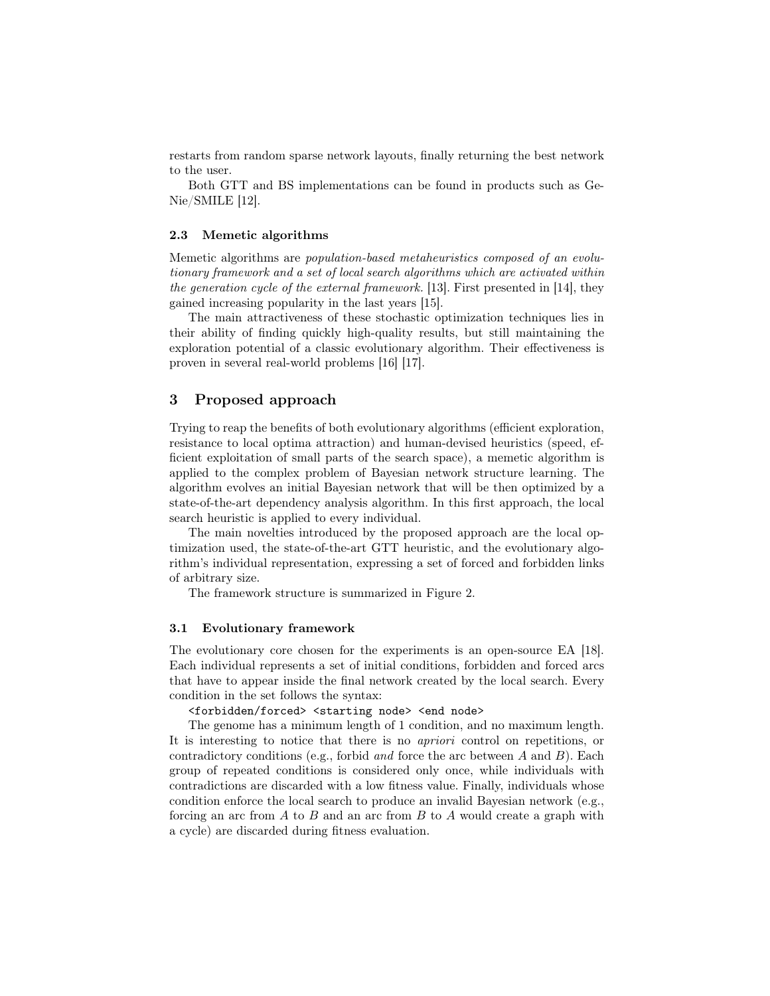restarts from random sparse network layouts, finally returning the best network to the user.

Both GTT and BS implementations can be found in products such as Ge-Nie/SMILE [12].

#### 2.3 Memetic algorithms

Memetic algorithms are *population-based metaheuristics composed of an evolutionary framework and a set of local search algorithms which are activated within the generation cycle of the external framework.* [13]. First presented in [14], they gained increasing popularity in the last years [15].

The main attractiveness of these stochastic optimization techniques lies in their ability of finding quickly high-quality results, but still maintaining the exploration potential of a classic evolutionary algorithm. Their effectiveness is proven in several real-world problems [16] [17].

## 3 Proposed approach

Trying to reap the benefits of both evolutionary algorithms (efficient exploration, resistance to local optima attraction) and human-devised heuristics (speed, efficient exploitation of small parts of the search space), a memetic algorithm is applied to the complex problem of Bayesian network structure learning. The algorithm evolves an initial Bayesian network that will be then optimized by a state-of-the-art dependency analysis algorithm. In this first approach, the local search heuristic is applied to every individual.

The main novelties introduced by the proposed approach are the local optimization used, the state-of-the-art GTT heuristic, and the evolutionary algorithm's individual representation, expressing a set of forced and forbidden links of arbitrary size.

The framework structure is summarized in Figure 2.

#### 3.1 Evolutionary framework

The evolutionary core chosen for the experiments is an open-source EA [18]. Each individual represents a set of initial conditions, forbidden and forced arcs that have to appear inside the final network created by the local search. Every condition in the set follows the syntax:

## <forbidden/forced> <starting node> <end node>

The genome has a minimum length of 1 condition, and no maximum length. It is interesting to notice that there is no *apriori* control on repetitions, or contradictory conditions (e.g., forbid *and* force the arc between *A* and *B*). Each group of repeated conditions is considered only once, while individuals with contradictions are discarded with a low fitness value. Finally, individuals whose condition enforce the local search to produce an invalid Bayesian network (e.g., forcing an arc from *A* to *B* and an arc from *B* to *A* would create a graph with a cycle) are discarded during fitness evaluation.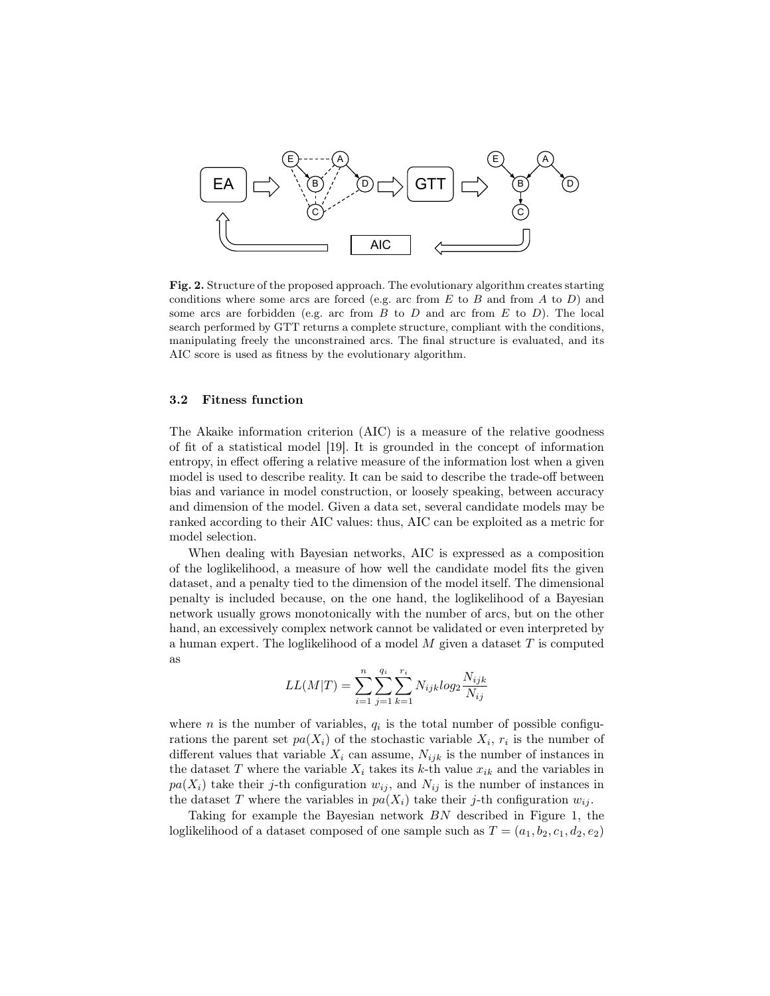

Fig. 2. Structure of the proposed approach. The evolutionary algorithm creates starting conditions where some arcs are forced (e.g. arc from *E* to *B* and from *A* to *D*) and some arcs are forbidden (e.g. arc from *B* to *D* and arc from *E* to *D*). The local search performed by GTT returns a complete structure, compliant with the conditions, manipulating freely the unconstrained arcs. The final structure is evaluated, and its AIC score is used as fitness by the evolutionary algorithm.

#### 3.2 Fitness function

The Akaike information criterion (AIC) is a measure of the relative goodness of fit of a statistical model [19]. It is grounded in the concept of information entropy, in effect offering a relative measure of the information lost when a given model is used to describe reality. It can be said to describe the trade-off between bias and variance in model construction, or loosely speaking, between accuracy and dimension of the model. Given a data set, several candidate models may be ranked according to their AIC values: thus, AIC can be exploited as a metric for model selection.

When dealing with Bayesian networks, AIC is expressed as a composition of the loglikelihood, a measure of how well the candidate model fits the given dataset, and a penalty tied to the dimension of the model itself. The dimensional penalty is included because, on the one hand, the loglikelihood of a Bayesian network usually grows monotonically with the number of arcs, but on the other hand, an excessively complex network cannot be validated or even interpreted by a human expert. The loglikelihood of a model *M* given a dataset *T* is computed as

$$
LL(M|T) = \sum_{i=1}^{n} \sum_{j=1}^{q_i} \sum_{k=1}^{r_i} N_{ijk} log_2 \frac{N_{ijk}}{N_{ij}}
$$

where  $n$  is the number of variables,  $q_i$  is the total number of possible configurations the parent set  $pa(X_i)$  of the stochastic variable  $X_i$ ,  $r_i$  is the number of different values that variable  $X_i$  can assume,  $N_{ijk}$  is the number of instances in the dataset *T* where the variable  $X_i$  takes its *k*-th value  $x_{ik}$  and the variables in  $pa(X_i)$  take their *j*-th configuration  $w_{ij}$ , and  $N_{ij}$  is the number of instances in the dataset *T* where the variables in  $pa(X_i)$  take their *j*-th configuration  $w_{ij}$ .

Taking for example the Bayesian network *BN* described in Figure 1, the loglikelihood of a dataset composed of one sample such as  $T = (a_1, b_2, c_1, d_2, e_2)$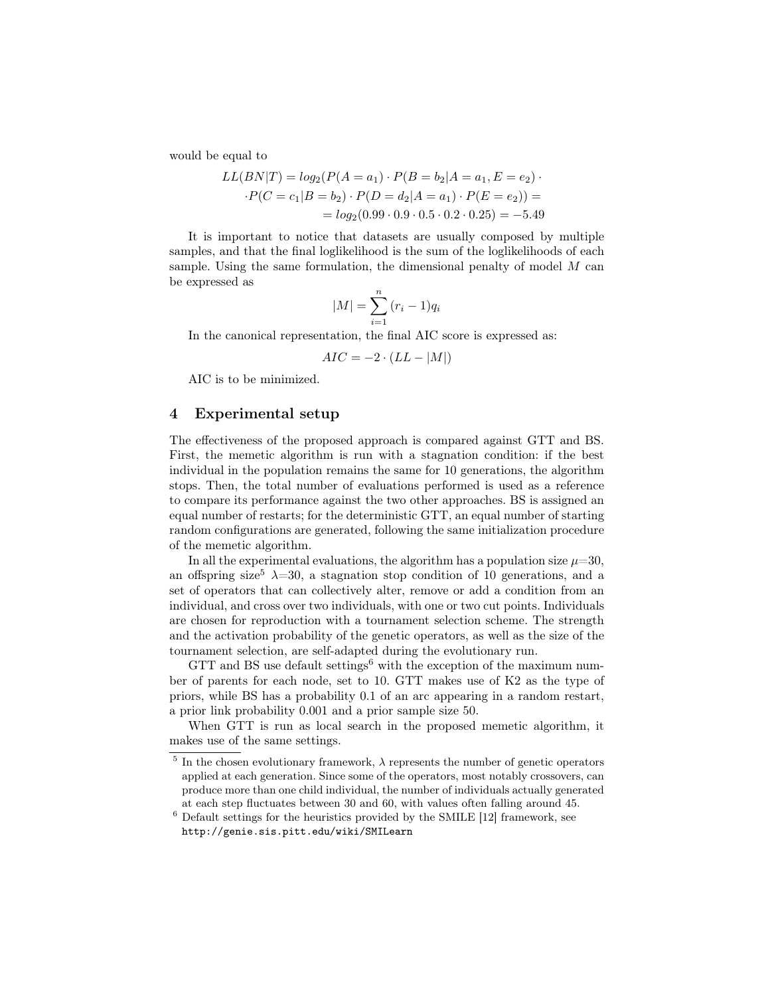would be equal to

$$
LL(BN|T) = log_2(P(A = a_1) \cdot P(B = b_2|A = a_1, E = e_2) \cdot P(C = c_1|B = b_2) \cdot P(D = d_2|A = a_1) \cdot P(E = e_2)) =
$$
  
= log<sub>2</sub>(0.99 · 0.9 · 0.5 · 0.2 · 0.25) = -5.49

It is important to notice that datasets are usually composed by multiple samples, and that the final loglikelihood is the sum of the loglikelihoods of each sample. Using the same formulation, the dimensional penalty of model *M* can be expressed as

$$
|M| = \sum_{i=1}^{n} (r_i - 1)q_i
$$

In the canonical representation, the final AIC score is expressed as:

$$
AIC = -2\cdot (LL-|M|)
$$

AIC is to be minimized.

## 4 Experimental setup

The effectiveness of the proposed approach is compared against GTT and BS. First, the memetic algorithm is run with a stagnation condition: if the best individual in the population remains the same for 10 generations, the algorithm stops. Then, the total number of evaluations performed is used as a reference to compare its performance against the two other approaches. BS is assigned an equal number of restarts; for the deterministic GTT, an equal number of starting random configurations are generated, following the same initialization procedure of the memetic algorithm.

In all the experimental evaluations, the algorithm has a population size  $\mu=30$ , an offspring size<sup>5</sup>  $\lambda$ =30, a stagnation stop condition of 10 generations, and a set of operators that can collectively alter, remove or add a condition from an individual, and cross over two individuals, with one or two cut points. Individuals are chosen for reproduction with a tournament selection scheme. The strength and the activation probability of the genetic operators, as well as the size of the tournament selection, are self-adapted during the evolutionary run.

 $GTT$  and BS use default settings<sup>6</sup> with the exception of the maximum number of parents for each node, set to 10. GTT makes use of K2 as the type of priors, while BS has a probability 0.1 of an arc appearing in a random restart, a prior link probability 0.001 and a prior sample size 50.

When GTT is run as local search in the proposed memetic algorithm, it makes use of the same settings.

<sup>&</sup>lt;sup>5</sup> In the chosen evolutionary framework,  $\lambda$  represents the number of genetic operators applied at each generation. Since some of the operators, most notably crossovers, can produce more than one child individual, the number of individuals actually generated at each step fluctuates between 30 and 60, with values often falling around 45.

 $^6$  Default settings for the heuristics provided by the SMILE [12] framework, see http://genie.sis.pitt.edu/wiki/SMILearn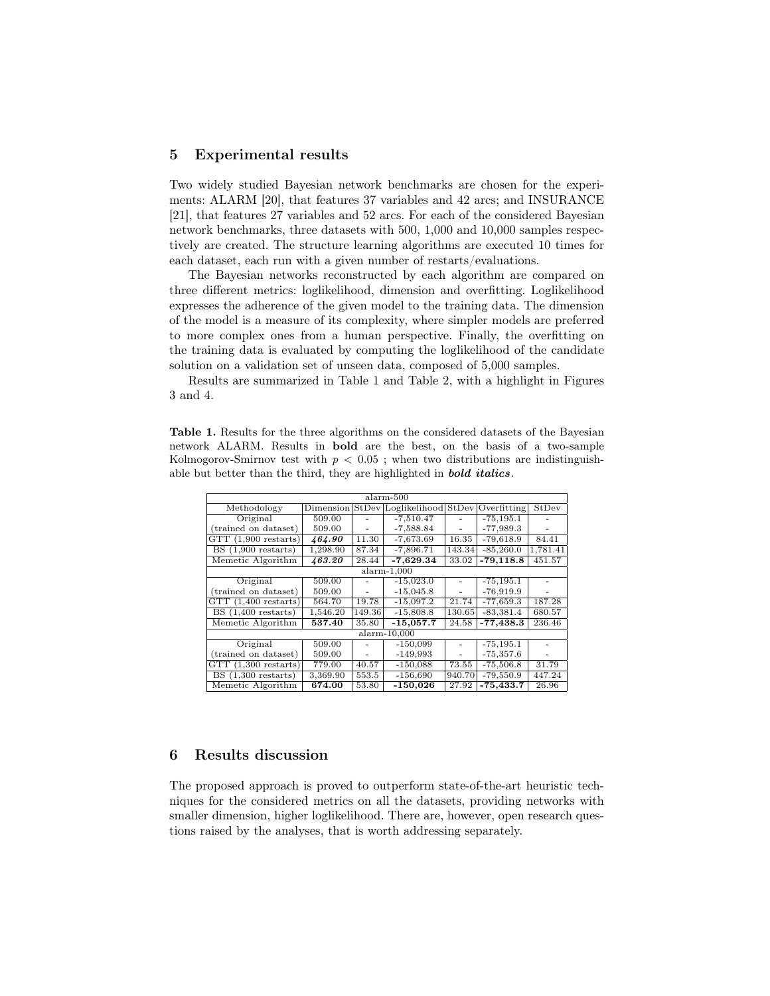### 5 Experimental results

Two widely studied Bayesian network benchmarks are chosen for the experiments: ALARM [20], that features 37 variables and 42 arcs; and INSURANCE [21], that features 27 variables and 52 arcs. For each of the considered Bayesian network benchmarks, three datasets with 500, 1,000 and 10,000 samples respectively are created. The structure learning algorithms are executed 10 times for each dataset, each run with a given number of restarts/evaluations.

The Bayesian networks reconstructed by each algorithm are compared on three different metrics: loglikelihood, dimension and overfitting. Loglikelihood expresses the adherence of the given model to the training data. The dimension of the model is a measure of its complexity, where simpler models are preferred to more complex ones from a human perspective. Finally, the overfitting on the training data is evaluated by computing the loglikelihood of the candidate solution on a validation set of unseen data, composed of 5,000 samples.

Results are summarized in Table 1 and Table 2, with a highlight in Figures 3 and 4.

Table 1. Results for the three algorithms on the considered datasets of the Bayesian network ALARM. Results in bold are the best, on the basis of a two-sample Kolmogorov-Smirnov test with  $p < 0.05$ ; when two distributions are indistinguishable but better than the third, they are highlighted in *bold italics*.

| alarm-500                     |           |        |                     |        |              |          |  |  |  |  |
|-------------------------------|-----------|--------|---------------------|--------|--------------|----------|--|--|--|--|
| Methodology                   | Dimension |        | StDev Loglikelihood | StDev  | Overfitting  | StDev    |  |  |  |  |
| Original                      | 509.00    |        | $-7,510.47$         | $\sim$ | $-75, 195.1$ |          |  |  |  |  |
| (trained on dataset)          | 509.00    |        | $-7,588.84$         |        | $-77,989.3$  |          |  |  |  |  |
| $GTT(1.900 \text{ restarts})$ | 464.90    | 11.30  | $-7,673.69$         | 16.35  | $-79,618.9$  | 84.41    |  |  |  |  |
| $BS(1,900 \text{ restarts})$  | 1,298.90  | 87.34  | $-7,896.71$         | 143.34 | $-85,260.0$  | 1,781.41 |  |  |  |  |
| Memetic Algorithm             | 463.20    | 28.44  | $-7,629.34$         | 33.02  | $-79,118.8$  | 451.57   |  |  |  |  |
| $\text{alarm-1,000}$          |           |        |                     |        |              |          |  |  |  |  |
| Original                      | 509.00    |        | $-15,023.0$         | ۰      | $-75, 195.1$ |          |  |  |  |  |
| (trained on dataset)          | 509.00    |        | $-15,045.8$         |        | $-76,919.9$  | ۰        |  |  |  |  |
| $GTT(1.400$ restarts)         | 564.70    | 19.78  | $-15.097.2$         | 21.74  | $-77.659.3$  | 187.28   |  |  |  |  |
| $BS(1,400 \text{ restarts})$  | 1,546.20  | 149.36 | $-15,808.8$         | 130.65 | $-83,381.4$  | 680.57   |  |  |  |  |
| Memetic Algorithm             | 537.40    | 35.80  | $-15,057.7$         | 24.58  | $-77,438.3$  | 236.46   |  |  |  |  |
| $alam-10,000$                 |           |        |                     |        |              |          |  |  |  |  |
| Original                      | 509.00    |        | $-150,099$          |        | $-75, 195.1$ |          |  |  |  |  |
| (trained on dataset)          | 509.00    |        | $-149,993$          |        | $-75,357.6$  | ۰        |  |  |  |  |
| $GTT(1,300$ restarts)         | 779.00    | 40.57  | $-150,088$          | 73.55  | $-75,506.8$  | 31.79    |  |  |  |  |
| $BS(1,300 \text{ restarts})$  | 3,369.90  | 553.5  | $-156.690$          | 940.70 | $-79.550.9$  | 447.24   |  |  |  |  |
| Memetic Algorithm             | 674.00    | 53.80  | $-150.026$          | 27.92  | $-75.433.7$  | 26.96    |  |  |  |  |

## 6 Results discussion

The proposed approach is proved to outperform state-of-the-art heuristic techniques for the considered metrics on all the datasets, providing networks with smaller dimension, higher loglikelihood. There are, however, open research questions raised by the analyses, that is worth addressing separately.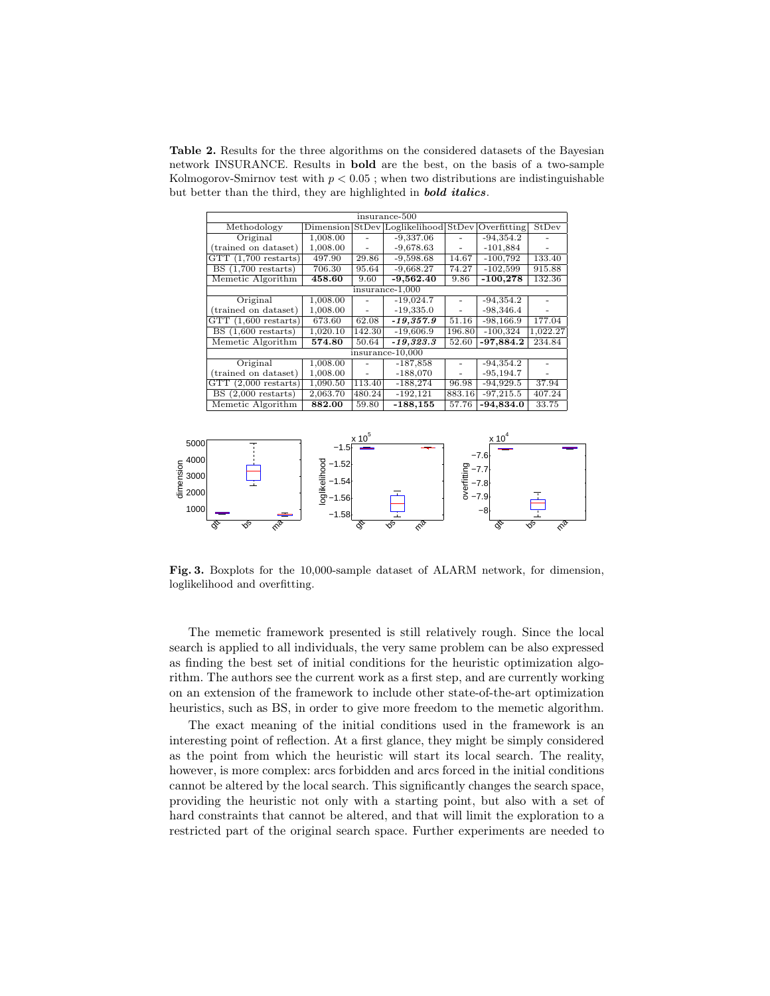Table 2. Results for the three algorithms on the considered datasets of the Bayesian network INSURANCE. Results in bold are the best, on the basis of a two-sample Kolmogorov-Smirnov test with  $p < 0.05$ ; when two distributions are indistinguishable but better than the third, they are highlighted in *bold italics*.

| insurance-500                                |           |        |               |        |              |          |  |  |  |  |
|----------------------------------------------|-----------|--------|---------------|--------|--------------|----------|--|--|--|--|
| Methodology                                  | Dimension | StDev  | Loglikelihood | StDev  | Overfitting  | StDev    |  |  |  |  |
| Original                                     | 1,008.00  |        | $-9.337.06$   |        | $-94,354.2$  |          |  |  |  |  |
| (trained on dataset)                         | 1,008.00  |        | $-9,678.63$   |        | $-101,884$   | ۰        |  |  |  |  |
| GTT<br>$\overline{(1,700 \text{ restarts})}$ | 497.90    | 29.86  | $-9,598.68$   | 14.67  | $-100,792$   | 133.40   |  |  |  |  |
| $BS(1,700 \text{ restarts})$                 | 706.30    | 95.64  | $-9.668.27$   | 74.27  | $-102,599$   | 915.88   |  |  |  |  |
| Memetic Algorithm                            | 458.60    | 9.60   | $-9,562.40$   | 9.86   | $-100,278$   | 132.36   |  |  |  |  |
| insurance-1,000                              |           |        |               |        |              |          |  |  |  |  |
| Original                                     | 1,008.00  |        | $-19,024.7$   |        | $-94,354.2$  |          |  |  |  |  |
| (trained on dataset)                         | 1,008.00  |        | $-19,335.0$   |        | $-98,346.4$  |          |  |  |  |  |
| $(1,600$ restarts)<br>GTT                    | 673.60    | 62.08  | $-19,357.9$   | 51.16  | $-98,166.9$  | 177.04   |  |  |  |  |
| $\overline{BS(1,600 \text{ restarts})}$      | 1,020.10  | 142.30 | $-19,606.9$   | 196.80 | $-100,324$   | 1,022.27 |  |  |  |  |
| Memetic Algorithm                            | 574.80    | 50.64  | $-19,323.3$   | 52.60  | $-97,884.2$  | 234.84   |  |  |  |  |
| insurance-10,000                             |           |        |               |        |              |          |  |  |  |  |
| Original                                     | 1,008.00  |        | $-187,858$    |        | $-94,354.2$  |          |  |  |  |  |
| (trained on dataset)                         | 1,008.00  |        | $-188,070$    |        | $-95, 194.7$ |          |  |  |  |  |
| $(2,000$ restarts)<br>GTT                    | 1,090.50  | 113.40 | $-188.274$    | 96.98  | $-94,929.5$  | 37.94    |  |  |  |  |
| $BS(2,000 \text{ restarts})$                 | 2,063.70  | 480.24 | $-192,121$    | 883.16 | $-97,215.5$  | 407.24   |  |  |  |  |
| Memetic Algorithm                            | 882.00    | 59.80  | $-188, 155$   | 57.76  | $-94,834.0$  | 33.75    |  |  |  |  |



Fig. 3. Boxplots for the 10,000-sample dataset of ALARM network, for dimension, loglikelihood and overfitting.

The memetic framework presented is still relatively rough. Since the local search is applied to all individuals, the very same problem can be also expressed as finding the best set of initial conditions for the heuristic optimization algorithm. The authors see the current work as a first step, and are currently working on an extension of the framework to include other state-of-the-art optimization heuristics, such as BS, in order to give more freedom to the memetic algorithm.

The exact meaning of the initial conditions used in the framework is an interesting point of reflection. At a first glance, they might be simply considered as the point from which the heuristic will start its local search. The reality, however, is more complex: arcs forbidden and arcs forced in the initial conditions cannot be altered by the local search. This significantly changes the search space, providing the heuristic not only with a starting point, but also with a set of hard constraints that cannot be altered, and that will limit the exploration to a restricted part of the original search space. Further experiments are needed to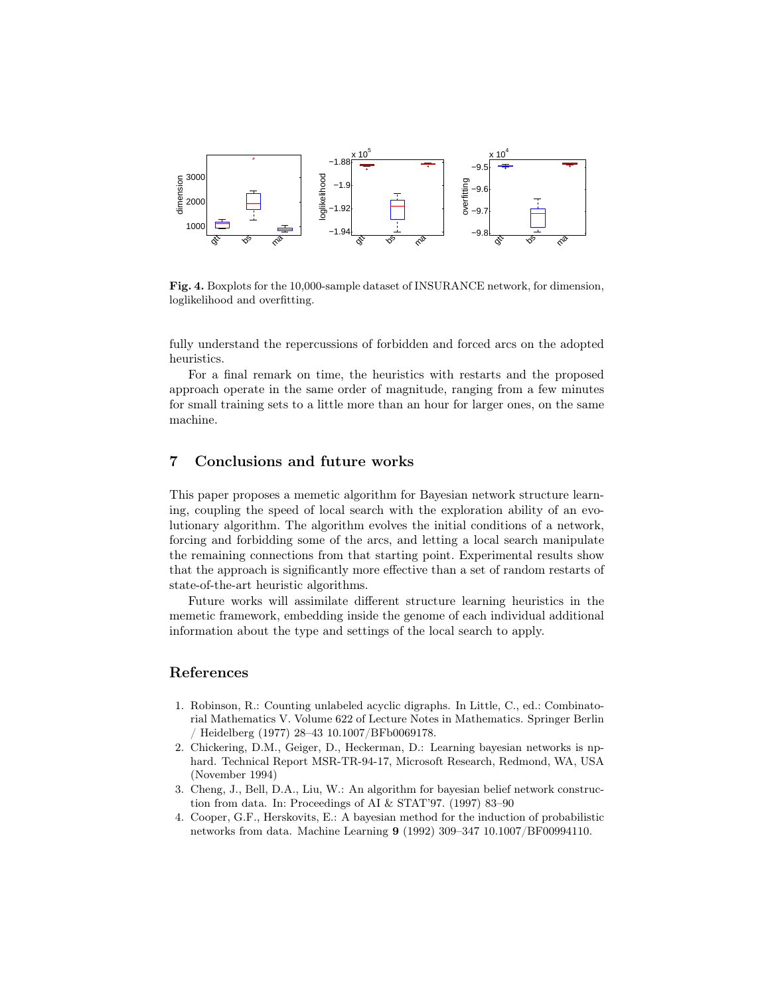

Fig. 4. Boxplots for the 10,000-sample dataset of INSURANCE network, for dimension, loglikelihood and overfitting.

fully understand the repercussions of forbidden and forced arcs on the adopted heuristics.

For a final remark on time, the heuristics with restarts and the proposed approach operate in the same order of magnitude, ranging from a few minutes for small training sets to a little more than an hour for larger ones, on the same machine.

# 7 Conclusions and future works

This paper proposes a memetic algorithm for Bayesian network structure learning, coupling the speed of local search with the exploration ability of an evolutionary algorithm. The algorithm evolves the initial conditions of a network, forcing and forbidding some of the arcs, and letting a local search manipulate the remaining connections from that starting point. Experimental results show that the approach is significantly more effective than a set of random restarts of state-of-the-art heuristic algorithms.

Future works will assimilate different structure learning heuristics in the memetic framework, embedding inside the genome of each individual additional information about the type and settings of the local search to apply.

# References

- 1. Robinson, R.: Counting unlabeled acyclic digraphs. In Little, C., ed.: Combinatorial Mathematics V. Volume 622 of Lecture Notes in Mathematics. Springer Berlin / Heidelberg (1977) 28–43 10.1007/BFb0069178.
- 2. Chickering, D.M., Geiger, D., Heckerman, D.: Learning bayesian networks is nphard. Technical Report MSR-TR-94-17, Microsoft Research, Redmond, WA, USA (November 1994)
- 3. Cheng, J., Bell, D.A., Liu, W.: An algorithm for bayesian belief network construction from data. In: Proceedings of AI & STAT'97. (1997) 83–90
- 4. Cooper, G.F., Herskovits, E.: A bayesian method for the induction of probabilistic networks from data. Machine Learning 9 (1992) 309–347 10.1007/BF00994110.